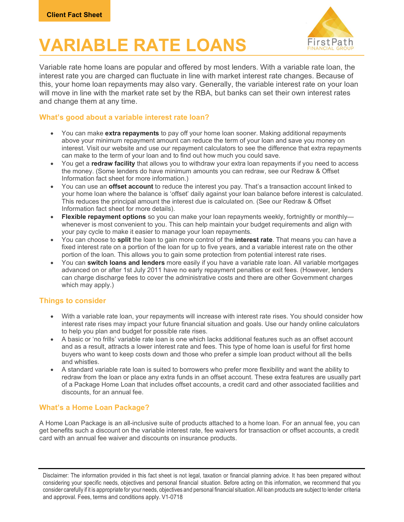# **VARIABLE RATE LOANS** Einst Path



Variable rate home loans are popular and offered by most lenders. With a variable rate loan, the interest rate you are charged can fluctuate in line with market interest rate changes. Because of this, your home loan repayments may also vary. Generally, the variable interest rate on your loan will move in line with the market rate set by the RBA, but banks can set their own interest rates and change them at any time.

#### What's good about a variable interest rate loan?

- You can make extra repayments to pay off your home loan sooner. Making additional repayments above your minimum repayment amount can reduce the term of your loan and save you money on interest. Visit our website and use our repayment calculators to see the difference that extra repayments can make to the term of your loan and to find out how much you could save.
- You get a redraw facility that allows you to withdraw your extra loan repayments if you need to access the money. (Some lenders do have minimum amounts you can redraw, see our Redraw & Offset Information fact sheet for more information.)
- You can use an **offset account** to reduce the interest you pay. That's a transaction account linked to your home loan where the balance is 'offset' daily against your loan balance before interest is calculated. This reduces the principal amount the interest due is calculated on. (See our Redraw & Offset Information fact sheet for more details).
- Flexible repayment options so you can make your loan repayments weekly, fortnightly or monthlywhenever is most convenient to you. This can help maintain your budget requirements and align with your pay cycle to make it easier to manage your loan repayments.
- You can choose to **split** the loan to gain more control of the **interest rate**. That means you can have a fixed interest rate on a portion of the loan for up to five years, and a variable interest rate on the other portion of the loan. This allows you to gain some protection from potential interest rate rises.
- You can switch loans and lenders more easily if you have a variable rate loan. All variable mortgages advanced on or after 1st July 2011 have no early repayment penalties or exit fees. (However, lenders can charge discharge fees to cover the administrative costs and there are other Government charges which may apply.)

### Things to consider

- With a variable rate loan, your repayments will increase with interest rate rises. You should consider how interest rate rises may impact your future financial situation and goals. Use our handy online calculators to help you plan and budget for possible rate rises.
- A basic or 'no frills' variable rate loan is one which lacks additional features such as an offset account and as a result, attracts a lower interest rate and fees. This type of home loan is useful for first home buyers who want to keep costs down and those who prefer a simple loan product without all the bells and whistles.
- A standard variable rate loan is suited to borrowers who prefer more flexibility and want the ability to redraw from the loan or place any extra funds in an offset account. These extra features are usually part of a Package Home Loan that includes offset accounts, a credit card and other associated facilities and discounts, for an annual fee.

### What's a Home Loan Package?

A Home Loan Package is an all-inclusive suite of products attached to a home loan. For an annual fee, you can get benefits such a discount on the variable interest rate, fee waivers for transaction or offset accounts, a credit card with an annual fee waiver and discounts on insurance products.

Disclaimer: The information provided in this fact sheet is not legal, taxation or financial planning advice. It has been prepared without considering your specific needs, objectives and personal financial situation. Before acting on this information, we recommend that you consider carefully if it is appropriate for your needs, objectives and personal financial situation. All loan products are subject to lender criteria and approval. Fees, terms and conditions apply. V1-0718